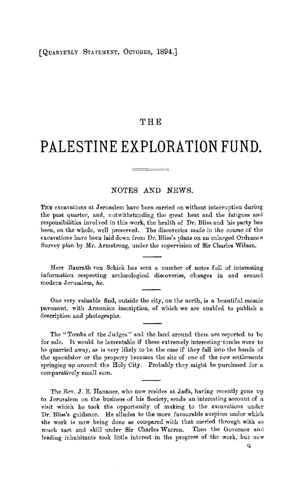#### [QUARTERLY STATEMENT, OCTOBER, 1894.]

## **THE**

# **PALESTINE EXPLORATION FUND.**

### NOTES AND NEWS.

THE excavations at Jerusalem have been carried on without interruption during the past quarter, and, notwithstanding the great heat and the fatigues and responsibilities involved in this work, the health of Dr. Bliss and his party has been, on the whole, well preserved. The discoveries made in the course of the excavations have been laid down from Dr. Bliss's plans on an enlarged Ordnance Survey plan by Mr. Armstrong, under the supervision of Sir Charles Wilson.

Herr Baurath von Schick has sent a number of notes full of interesting information respecting archaeological discoveries, changes in and around modern Jerusalem, &c.

One very valuable find, outside the city, on the north, is a beautiful mosaic pavement, with Armenian inscription, of which we are enabled to publish a description and photographs.

The "Tombs of the Judges" and the land around them are reported to be for sale. 1t would be lamentable if these extremely interesting' tombs were to be quarried away, as is very likely to be the case if they fall into the hands of the speculator or the property becomes the site of one of the new settlements springing up around the Holy City. Probably they might be purchased for a comparatively small sum.

The Rev. **J.** E. Hanauer, who now resides at Jaifa, having recently gone up to Jerusalem on the business of his Society, sends an interesting account of a visit which he took the opportunity of making to the excavations under Dr. Bliss's guidance. He alludes to the more favourable auspices under which the work is now being done as compared with that carried through with so much tact and skill nuder **Sir** Charles Warren. Then the Governor arnl leading inhabitants took little interest in the progress of the work, but now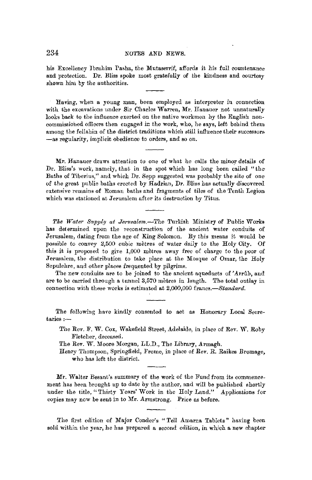his Excellency Ibrahim Pasha, the Mutaserrif, affords it his full countenance and protection. Dr. Bliss spoke most gratefully of the kindness and courtesy shown him by the authorities.

Having, when a young man, been employed as interpreter in connection with the excavations under Sir Charles Warren, Mr. Hanauer not unnaturally looks back to the influence exerted on the native workmen by the English noncommissioned officers then engaged ir. the work, who, he says, left behind them among the fellahin of the district traditions which still influence their successors -as regularity, implicit obedience to orders, and so on.

Mr. Hanauer draws attention to one of what he calls the minor details of Dr. Bliss's work, namely, that in the spot which has long been called "the-Baths of Tiberius," and which Dr. Sepp suggested was probably the site of one of the great public baths erected by Hadrian, Dr. Bliss has actually discovered extensive remains of Roman baths and fragments of tiles of the Tenth Legion which was stationed at Jerusalem after its destruction by Titus.

The Water Supply at Jerusalem.-The Turkish Ministry of Public Works has determined upon the reconstruction of the ancient water conduits of .Terusalem, dating from the age of King Solomon. By this means it would be possible to convey 2,500 cubic metres of water daily to the Holy City. Of this it is proposed to give 1,000 metres away free of charge to the poor of .Terusalem, the distribution to take place at the Mosque of Omar, the Holy Sepulchre, and other places frequented by pilgrims.

The new conduits are to be joined to the ancient aqueducts of 'Arrftb, and are to be carried through a tunnel 3,570 metres in length. The total outlay in connection with these works is estimated at 2,000,000 *francs.-Standard.* 

The following have kindly consented to act as Honorary Local Secretaries:-

The Rev. F. W. Cox, Wakefield Street, Adelaide, in place of Rev. W. Roby Fletcher, deceased.

The Rev. W. Moore Morgan, LL.D., The Library, Armagh.

Henry Thompson, Springfield, Frome, in place of Rev. R. Raikes Bromage, who has left the district.

Mr. Walter Besant's summary of the work of the Fund from its commencement has been brought up to date by the author, and will be published shortly under the title, "Thirty Years' Work in the Holy Land." Applications for copies may now be sent in to Mr. Armstrong. Price as before.

The first edition of Major Conder's "Tell Amarna Tablets" having been sold within the year, he has prepared a second edition, in which a new chapter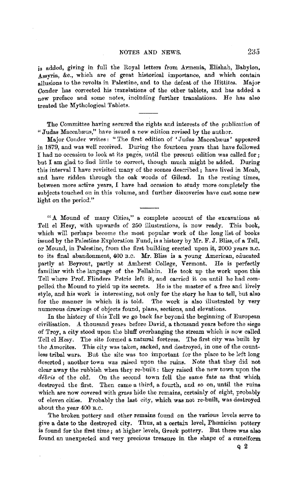is added, giving in fuli the Royal letters from Armenia, Elishah, Babylon, Assyria, &c., which are of great historical importance, and which contain allusions to the revolts in Palestine, and to the defeat of the Hittites. Major Conder has corrected his translations of the other tablets, and has added a new preface and some notes, including further translations. He has also treated the Mythological Tablets.

The Committee having secured the rights and interests of the publication of "Judas Maccabæus," have issued a new edition revised by the author.

Major Conder writes: "The first edition of 'Judas Maccabæus' appeared in 1879, and was well received. During the fourteen years that have followed I had no occasion to look at its pages, until the present edition was called for; but I am glad to find little to correct, though much might be added. During this intervai I have revisited many of the scenes described ; have lived in Moab, and have ridden through the oak woods of Gilead. In the resting times, between more active years, I have had occasion to study more completely the subjects touched on in this volume, and further discoveries have cast some new light on the period."

"A Mound of many Cities," a complete account of the excavations at Tell el Hesy, with upwards of 250 illustrations, is now ready. This book, which will perhaps become the most popular work of the long list of books issued by the Palestine Exploration Fund, is a history by Mr. F. J. Bliss, of a Tell, or Mound, in Palestine, from the first building erected upon it, 2000 years B.C. to its final abandonment, 400 B.C. Mr. Bliss is a young American, educated partly at Beyrout, partly at Amherst College, Vermont. *He* is perfectly familiar with the language of the Fellahin. He took up the work upon this Tell where Prof. Flinders Petrie left it, and carried it on until he had compelled the Mound to yield up its secrets. He is the master of a free and lively style, and his work is interesting, not only for the story he has to tell, but also for the manner in which it is told. The work is also illustrated by very numerous drawings of objects found, plans, sections, and elevations.

In the history of this Tell we go back far beyond the beginning of European civilisation. A thousand years before David, a thousand years before the siege of Troy, a city stood upon the bluff overhanging the stream which is now called Tell el Hesy. The site formed a natural fortress. The first city was built by the Amorites. This city was taken, sacked, and destroyed, in one of the countless tribal wars. But the site was too important for the place to be left long deserted; another town was raised upon the ruins. Note that they did not clear away the rubbish when they re-built: they raised the new town upon the *debris* of the old. On the second town fell the same fate as that which destroyed the first. Then came a third, a fourth, and so on, until the ruins which are now covered with grass hide the remains, certainly of eight, probably of eleven cities. Probably the last city, which was not re-built, was destroyed about the year 400 B.O.

The broken pottery and other remains found on the various levels serve to give a date to the destroyed city. Thus, at a certain level, Phamician pottery is found for the first time; at higher levels, Greek pottery. But there was also found an unexpected and very precious treasure in the shape of a cuneiform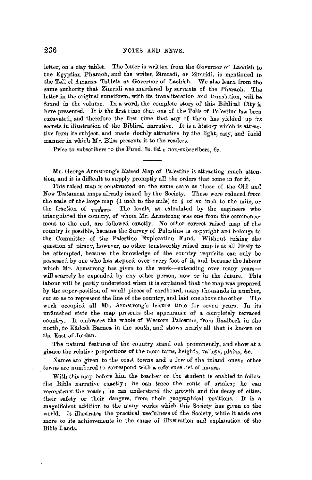letter, on a clay tablet. The letter is written from the Governor of Lachish to the Egyptian Pharaoh, and the writer, Zimradi, or Zimridi, is mentioned in the Tell el Amarna Tablets as Governor of Lachish. We also learn from the same authority that Zimridi was murdered by servants of the Pharaoh. The letter in the original cuneiform, with its transliteration and translation, will he found in the volume. In a word, the complete story of this Biblical City is here presented. It is the first time that one of the Tells of Palestine has been excavated, and therefore the first time that any of them has yielded up its secrets in illustration of the Biblical narrative. It is a history which is attractive from its subject, and made doubly attractive by the light, easy, and lucid manner in which Mr. Bliss presents it to the readers.

Price to subscribers to the Fund, *3s. 6d.;* non-subscribers, *6s.* 

Mr. George Armstrong's Raised Map of Palestine is attracting much attention, and it is difficult to supply promptly all the orders that come in for it.

This raised map is constructed on the same scale as those of the Old and New Testament maps already issued by the Society. These were reduced from thew restaurent maps arready issued by the society. These were reduced from<br>the scale of the large map (I inch to the mile) to  $\frac{3}{9}$  of an inch to the mile, or<br>the fraction of  $\frac{7}{108860}$ . The levels, as calculated triangulated the country, of. whom Mr. Armstrong was one from the commencement to the end, are followed exactly. No other correct raised map of the country is possible, because the Survey of Palestine *is* copyright aud belongs to the Committee of the Palestine Exploration Fund. Without raising the question of piracy, however, no other trustworthy raised map is at all likely to be attempted, because the knowledge of the country requisite can only be possessed by one who has stepped over every foot of it, and because the labour which Mr. Armstrong has given to the work-extending over many yearswill scarcely be expended by any other person, now or in the future. This labour will be partly understood when it is explained that the map was prepared by the super-position of small pieces of cardboard, many thousands in number, cut so as to represent the line of the country, and laid one above the other. The work occupied all Mr. Armstrong's leisure time for seven years. In its unfinished state the map presents the appearance of a completely terraced country. It embraces the whole of Western Palestine, from Baalbeck in the north, to Kâdesh Barnea in the south, and shows nearly all that is known on the East of Jordan.

The natural features of the country stand out prominently, and show at a glance the relative proportions of the mountains, heights, valleys, plains, &c.

Names are given to the coast towns and a few of the inland ones; other towns are numbered to correspond with a reference list of names.

With this map before him the teacher or the student is enabled to follow the Bible narrative exactly; he can trace the route of armies; he ean reconstruct the roads ; he can understand the growth and the decay of cities, their safety or their dangers, from their geographical positions. It is a magnificient addition to the many works which this Society has given to the world. It illustrates the practical usefulness of the Society, while it adds one more to its achievements in the cause of illustration and explanation of the Bible Lands,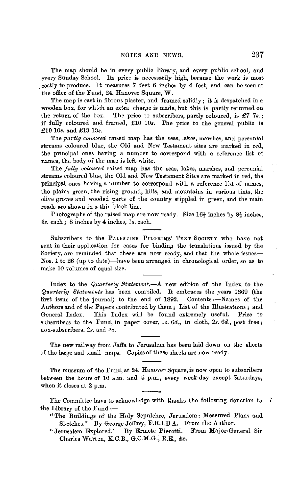The map should be in every public library, and every public school, and every Sunday School. Its price is necessarily high, because the work is most costly to produce. It measures 7 feet 6 inches by **4** feet, and can be seen at the office of the Fund, 24, Hanover Square, W.

The map is cast in fibrous plaster, and framed solidly; it is despatched in a wooden box, for which an extra charge is made, but this is partly returned on the return of the box. The price to subscribers, partly coloured, is £7 7s. The price to subscribers, partly coloured, is £7  $7s$ .; if fully coloured and framed, £10 *10s.* The price to the general public is £10 10s. and £13 13s.

The *partly coloured* raised map has the seas, lakes, marshes, and perennial streams coloured blue, the Old and New Testament sites are marked in red, the principal ones having a number to correspond with a reference list of names, the body of the map is left white.

The *fully coloured* raised map has the seas, lakes, marshes, and perennial streams coloured blue, the Old and New Testament Sites are marked in red, the principal ones having a number to correspond with a reference list of names, the plains green, the rising ground, hills, and mountains in various tints, the olive groves and wooded parts of the country stippled in green, and the main roads are shown in a thin black line.

Photographs of the raised map are now ready. Size  $16\frac{1}{2}$  inches by  $8\frac{1}{2}$  inches, 5s. each; 8 inches by 4 inches, ls. each.

Subscribers to the PALESTINE PILGRIMS' TEXT SOCIETY who have not sent in their application for cases for binding the translations issued by the Society, are reminded that these are now ready, and that the whole issues-Nos. 1 to 26 (up to date)-have been arranged in chronological order, so as to make 10 volumes of equal size.

Index to the *Quarterly Statement.-.A.* new edition of the Index to the *Quarterly Statements* has been compiled. It embraces the years 1869 (the first issue of the journal) to the end of  $1892$ . Contents :- Names of the Authors and of the Papers contributed by them; List of the Illustrations; and General Index. This Index will be found extremely useful. Price to subscribers to the Fund, in paper cover, ls. *6d.,* in cloth, *2s. 6d.,* post free; non-subscribers, *2s.* and *Rs.* 

The new railway from Jaffa to Jerusalem has been laid down on the sheets of the large and small maps. Copies of these sheets are now ready.

The museum of the Fund, at 24, Hanover Square, is now open to subscribers between the hours of 10 a.m. and 5 p.m., every week-day except Saturdays, when it closes at 2 p.m.

The Committee have to acknowledge with thanks the following donation to  $\ell$ the Library of the Fund  $:$ 

- "The Buildings of the Holy Sepulchre, Jerusalem: Measured Plans and Sketches." By George Jeffery, F.R.I.B.A. From the Author.
- "Jerusalem Explored." By Ermete Pierotti. From Major-General Sir Charles Warren, K.C.B., G.C.M.G., R.E., &c.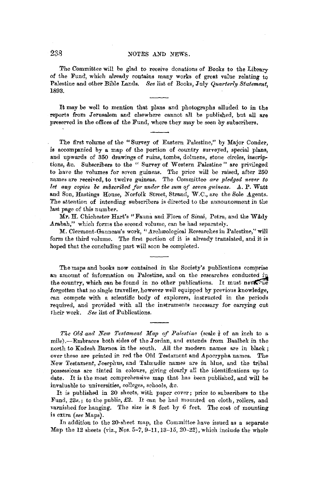#### 238 NOTES AND NEWS.

The Committee will be glad to receive donations of Books to the Library of the Fund, which already contains many works of great value relating to Palestine and other Bible Lands. See list of Books, July *Quarterly Statement*, 1893.

It may be well to mention that plans and photographs alluded to in the reports from Jerusalem and elsewhere cannot all be published, but all are preserved in the offices of the Fund, where they may be seen by subscribers.

The first volume of the "Survey of Eastern Palestine," by Major Conder, **is** accompanied by **a** map of the portion of country surveyed, special plans, and upwards of 350 drawings of ruins, tombs, dolmens, stone circles, inscriptions, &c. Subscribers to the " Survey of Western Palestine " are privileged to have the volumes for seven guineas. The price will be raised, after 250 names are received, to twelve guineas. The Committee *are pled9ed never to let any copies oe subscribed for under tlie sum of seven 9uineas.* .A. P. Watt and Son, Hastings House, Norfolk Street, Strand, W.C., are the Sole Agents. The attention of intending subscribers is directed to the announcement in the last page of this number.

Mr. H. Chichester Hart's "Fauna and Flora of Sinai, Petra, and the **WAdy**  Arabah," which forms the second volume, can be had separately.

M. Clermont-Ganneau's work, "Archæological Researches in Palestine," will form the third volume. The first portion of it is already translated, and it is hoped that the concluding part will soon be completed.

The maps and books now contained in the Society's publications comprise an amount of information on Palestine, and on the researches conducted in the country, which can be found in no other publications. It must never we forgotten that no single traveller, however well equipped by previous knowledge, can compete with a scientific body of explorers, instructed in the periods required, and provided with all the instruments necessary for carrying cut 1heir work. *See* list of Publications.

*The Old and New Testament Map of Palestine* (scale  $\frac{3}{8}$  of an inch to a mile).-Embraces both sides of the Jordan, and extends from Baalbek in the north to Kadesh Barnea in the south. All the modern names are in black; over these are printed in red the Old Testament and Apocrypha names. The New Testament, Josephus, and Talmudic names are in hlue, and the tribal possessions are tinted in colours, giving clearly all the identifications up to date. It is the most comprehensive map that has been published, and will be invaluable to universities, colleges, schools, &c.

It is published in 20 sheets, with paper cover; price to subscribers to the Fund, 23s.; to the public, £2. It can be had mounted on cloth, rollers, and varnished for hanging. The size is 8 feet by 6 feet. The cost of mounting is extra *(see* Maps).

In addition to the 20-sheet map, the Committee have issued as a separate Map the 12 sheets (viz., N9s. 5-7, 9-11, 13-15, 20-22), which include the whole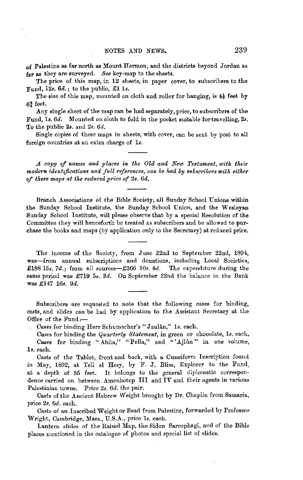of Palestine as far north as Mount Hermon, and the districts beyond Jordan as far as they are surveyed. See key-map to the sheets.

The price of this map, in 12 sheets, in paper cover, to subscribers to the Fund, *12s. 6d.;* to the public, £1 ls.

The size of this map, mounted on cloth and roller for hanging, is  $4\frac{1}{2}$  feet by 6¾ feet.

Any single sheet of the map can be had separately, price, to subscribers of the Fund, ls. *6d.* Mounted on cloth to fold in the pocket suitable for travelling, *2s.*  To the public *2s.* and *2s. 6d.* 

Single copies of these maps in sheets, with cover, can be sent by post to all foreign countries at an extra charge of 1s.

A *copy of names and places in the Old and New Testament, with their modern identifications and full references, can be had by subscribers with either of these maps at the reduced price of 2s. 6d.* 

Branch Associations of the Bible Society, all Sunday School Unions within the Sunday School Institute, the Sunday School Union, and the Wesleyan Sunday School Institute, will please observe that by a special Resolution of the Committee they will henceforth be treated as subscribers and be allowed to purchase the books and maps (by application only to the Secretary) at reduced price.

The income of the Society, from June 22nd to September 22nd, 1894, was-from annual subscriptions and donations, including Local Societies, £188 15s. 7d.; from all sources-£366 10s.  $4d$ . The expenditure during the same period was £719 5s. 3d. On September 22nd the balance in the Bank was £147 16s. 9d.

Subscribers are requested to note that the following cases for binding, casts, and slides can be had by application to the Assistant Secretary at the Office of the Fund:-

Cases for binding Herr Schumacher's "Jaulan," ls. each.

Cases for binding the *Quarterly Statement,* in green or chocolate, ls. each. Cases for binding "Abila," "Pella," and "'Ajlun" in one volume, **ls.** each.

Casts of the Tablet, front and back, with a Cuneiform Inscription found in May, 1892, at Tell el Hesy, by F. J. Bliss, Explorer to the Fund, at a depth of 35 feet. It belongs to the general diplomatic correspondence carried on between Amenhotep III and **IV** and their agents in various Palestinian towns. Price *2s. 6d.* the pair.

Casts of the Ancient Hebrew Weight brought by Dr. Chaplin from Samaria, price *2s. 6d.* each.

Casts of an Inscribed Weight or Bead from Palestine, forwarded by Professor Wright, Cambridge, Mass., U.S.A., price *ls.* each.

Lantern slides of the Raised Map, the Sidon Sarcophagi, and of the Bible places mentioned in the catalogue of photos and special list of slides.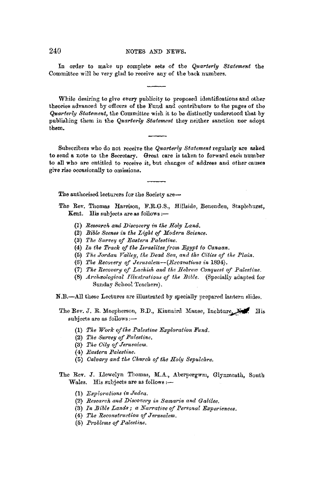In order to make up complete sets of the *Quarterly Statement* the Committee will be very glad to receive any of the back numbers.

While desiring to give every publicity to proposed identifications and other theories advanced by officers of the Fund and contributors to the pages of the *Quarterly Statement,* the Committee wish it to be distinctly understood that by publishing them in the *Quarterly Statement* they neither sanction nor adopt them.

Subscribers who do not receive the *Quarterly Statement* regularly are asked to send a note to the Secretary. Great care is taken to forward each number to all who are entitled to receive it, but changes of address and other causes give rise occasionally to omissions.

The authorised lecturers for the Society are-

The Rev. Thomas Harrison, F.R.G.S., Hillside, Benenden, Staplehurst, Kent. His subjects are as follows :-

- (1) *Research and Discovery in the Holy Land.*
- **(2)** *Bible Scenes in tke Ligkt* ef *Modern Science.*
- (3) *Tke Survev* ef *Eastern Palestine.*
- **(4)** *In tke Track of tke Israelites from Egypt to Canaan.*
- (5) The Jordan Valley, the Dead Sea, and the Cities of the Plain.
- (6) *Tke Recovery of Jerusalem-(Excavatiuns in* 1894).
- (7) *Tke Recovery of Lachish and the Hebrew Conquest of Palesti:ne.*
- (8) *Archaeological Illustrations of the Bible.* (Specially adapted for Sunday School 'feacbers).
- N.B.-All these Lectures are illustrated by specially prepared lantern slides.
- The Rev. J. R. Macpherson, B.D., Kinnaird Manse, Inchture, M.F. His subjects are as follows:-
	- (1) *Tke Work ojtke Palestine Exploration Fund.*
	- (2) *Tke Survey of Palestine.*
	- (3) *The City of Jerusalem.*
	- (4) *Eastern Palestine.*
	- (6) *Calvary and tke Ckurcl• of tke Hoty Sepulckre.*
- The Rev. J. Llewelyn Thomas, M.A.., Aberpergwm, Glynmeath, South Wales. His subjects are as follows :-
	- (1) *Explorations in Judea.*
	- (2) *Research, and Discovery in Samaria and Galilee,*
	- (3) *In Bible Lands; a Narrative of Personal Experiences.*
	- (4) The Reconstruction of Jerusalem.
	- (5) *Problems of Palestine.*